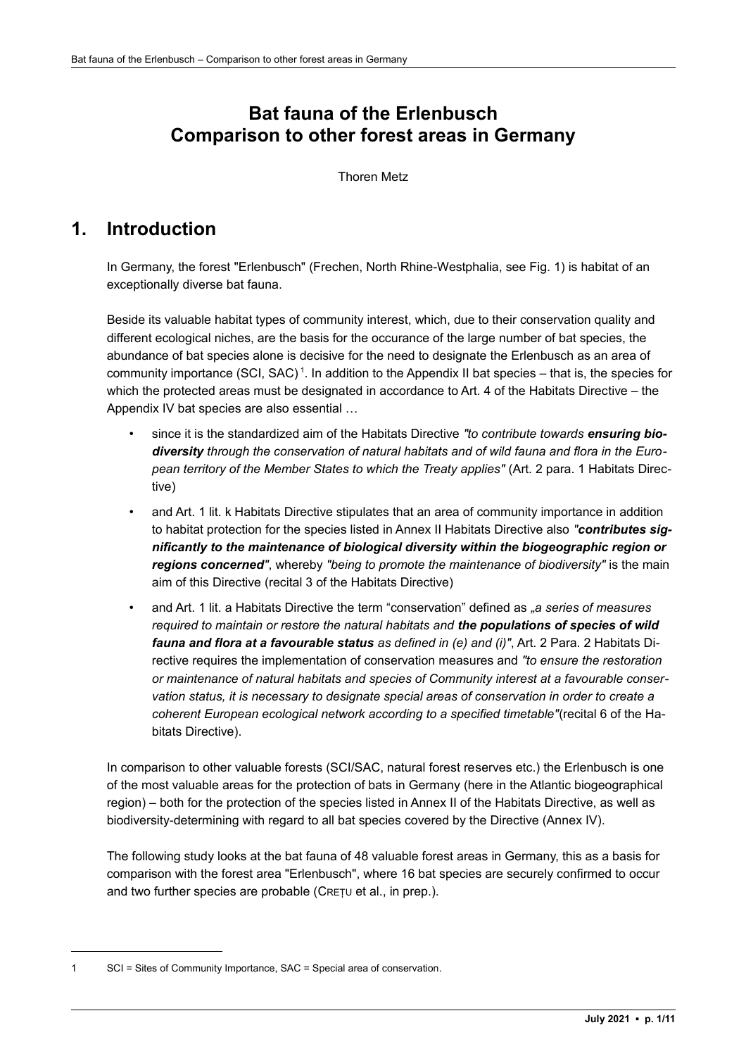## **Bat fauna of the Erlenbusch Comparison to other forest areas in Germany**

Thoren Metz

# **1. Introduction**

In Germany, the forest "Erlenbusch" (Frechen, North Rhine-Westphalia, see Fig. 1) is habitat of an exceptionally diverse bat fauna.

Beside its valuable habitat types of community interest, which, due to their conservation quality and different ecological niches, are the basis for the occurance of the large number of bat species, the abundance of bat species alone is decisive for the need to designate the Erlenbusch as an area of community importance (SCI, SAC)<sup>[1](#page-0-0)</sup>. In addition to the Appendix II bat species – that is, the species for which the protected areas must be designated in accordance to Art. 4 of the Habitats Directive – the Appendix IV bat species are also essential …

- since it is the standardized aim of the Habitats Directive *"to contribute towards ensuring biodiversity through the conservation of natural habitats and of wild fauna and flora in the European territory of the Member States to which the Treaty applies"* (Art. 2 para. 1 Habitats Directive)
- and Art. 1 lit. k Habitats Directive stipulates that an area of community importance in addition to habitat protection for the species listed in Annex II Habitats Directive also *"contributes significantly to the maintenance of biological diversity within the biogeographic region or regions concerned"*, whereby *"being to promote the maintenance of biodiversity"* is the main aim of this Directive (recital 3 of the Habitats Directive)
- and Art. 1 lit. a Habitats Directive the term "conservation" defined as *"a series of measures required to maintain or restore the natural habitats and the populations of species of wild fauna and flora at a favourable status as defined in (e) and (i)"*, Art. 2 Para. 2 Habitats Directive requires the implementation of conservation measures and *"to ensure the restoration or maintenance of natural habitats and species of Community interest at a favourable conservation status, it is necessary to designate special areas of conservation in order to create a coherent European ecological network according to a specified timetable"*(recital 6 of the Habitats Directive).

In comparison to other valuable forests (SCI/SAC, natural forest reserves etc.) the Erlenbusch is one of the most valuable areas for the protection of bats in Germany (here in the Atlantic biogeographical region) – both for the protection of the species listed in Annex II of the Habitats Directive, as well as biodiversity-determining with regard to all bat species covered by the Directive (Annex IV).

The following study looks at the bat fauna of 48 valuable forest areas in Germany, this as a basis for comparison with the forest area "Erlenbusch", where 16 bat species are securely confirmed to occur and two further species are probable (CREȚU et al., in prep.).

<span id="page-0-0"></span><sup>1</sup> SCI = Sites of Community Importance, SAC = Special area of conservation.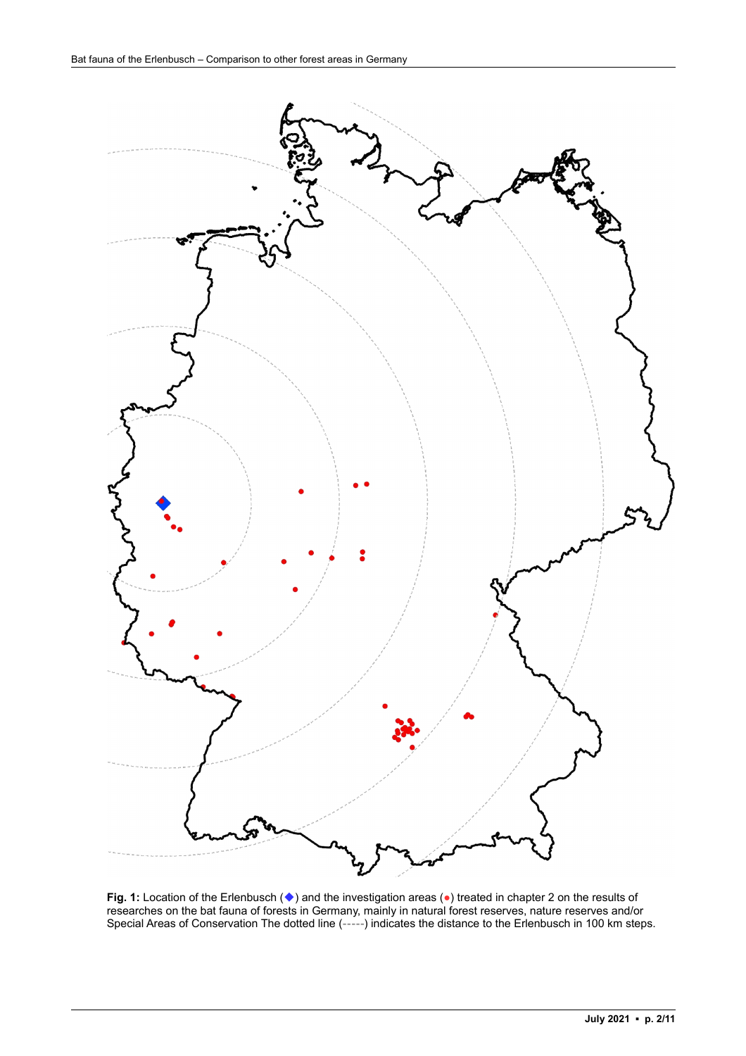

**Fig. 1:** Location of the Erlenbusch (♦) and the investigation areas (•) treated in chapter 2 on the results of researches on the bat fauna of forests in Germany, mainly in natural forest reserves, nature reserves and/or Special Areas of Conservation The dotted line (**-----**) indicates the distance to the Erlenbusch in 100 km steps.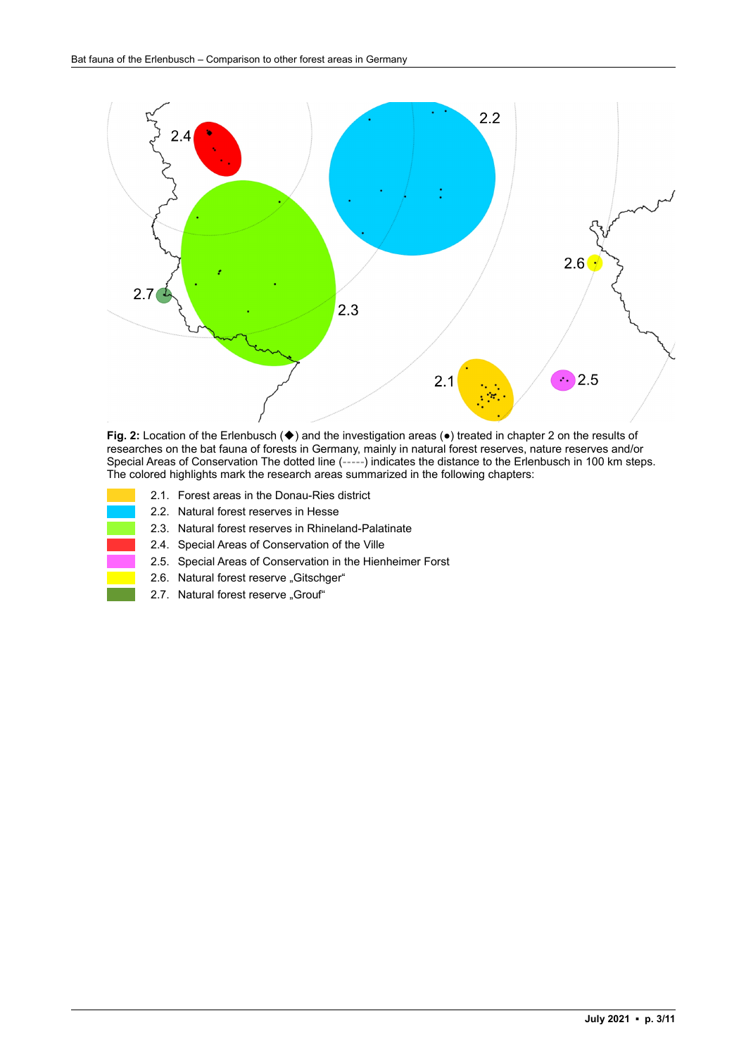

**Fig. 2:** Location of the Erlenbusch (♦) and the investigation areas (●) treated in chapter 2 on the results of researches on the bat fauna of forests in Germany, mainly in natural forest reserves, nature reserves and/or Special Areas of Conservation The dotted line (**-----**) indicates the distance to the Erlenbusch in 100 km steps. The colored highlights mark the research areas summarized in the following chapters:

- 2.1. Forest areas in the Donau-Ries district
- 2.2. Natural forest reserves in Hesse
- 2.3. Natural forest reserves in Rhineland-Palatinate
- 2.4. Special Areas of Conservation of the Ville
- 2.5. Special Areas of Conservation in the Hienheimer Forst
- 2.6. Natural forest reserve "Gitschger"
- 2.7. Natural forest reserve "Grouf"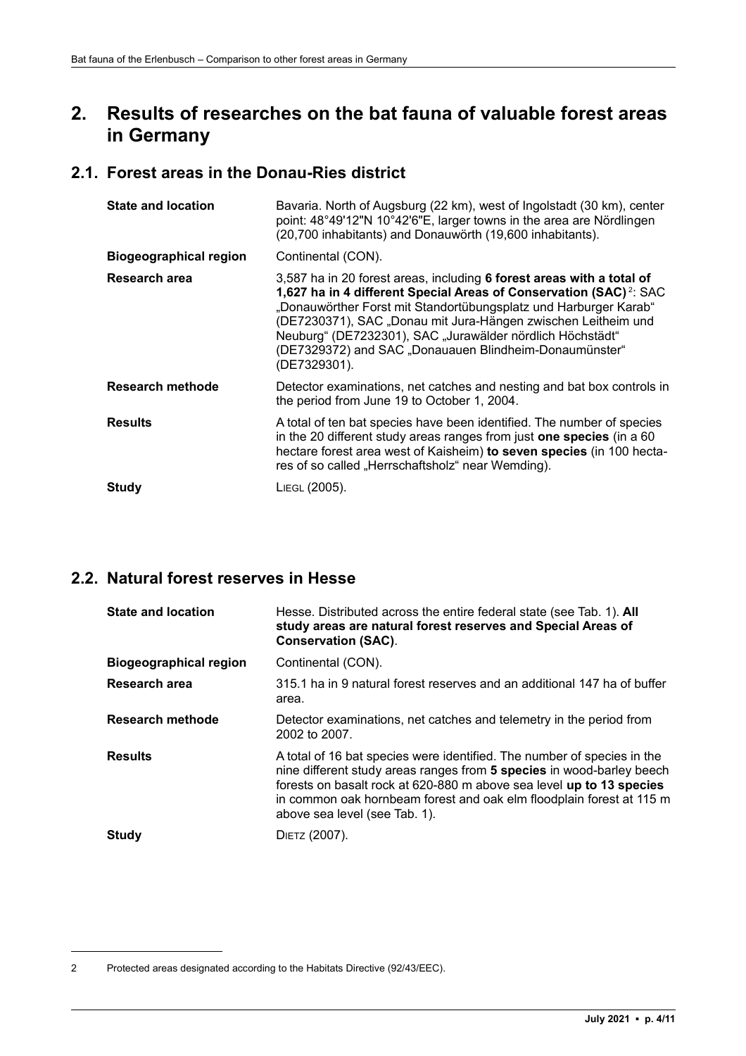# **2. Results of researches on the bat fauna of valuable forest areas in Germany**

#### **2.1. Forest areas in the Donau-Ries district**

| <b>State and location</b>     | Bavaria. North of Augsburg (22 km), west of Ingolstadt (30 km), center<br>point: 48°49'12"N 10°42'6"E, larger towns in the area are Nördlingen<br>(20,700 inhabitants) and Donauwörth (19,600 inhabitants).                                                                                                                                                                                                                         |
|-------------------------------|-------------------------------------------------------------------------------------------------------------------------------------------------------------------------------------------------------------------------------------------------------------------------------------------------------------------------------------------------------------------------------------------------------------------------------------|
| <b>Biogeographical region</b> | Continental (CON).                                                                                                                                                                                                                                                                                                                                                                                                                  |
| Research area                 | 3,587 ha in 20 forest areas, including 6 forest areas with a total of<br>1,627 ha in 4 different Special Areas of Conservation (SAC) <sup>2</sup> : SAC<br>"Donauwörther Forst mit Standortübungsplatz und Harburger Karab"<br>(DE7230371), SAC "Donau mit Jura-Hängen zwischen Leitheim und<br>Neuburg" (DE7232301), SAC "Jurawälder nördlich Höchstädt"<br>(DE7329372) and SAC "Donauauen Blindheim-Donaumünster"<br>(DE7329301). |
| <b>Research methode</b>       | Detector examinations, net catches and nesting and bat box controls in<br>the period from June 19 to October 1, 2004.                                                                                                                                                                                                                                                                                                               |
| <b>Results</b>                | A total of ten bat species have been identified. The number of species<br>in the 20 different study areas ranges from just one species (in a 60<br>hectare forest area west of Kaisheim) to seven species (in 100 hecta-<br>res of so called "Herrschaftsholz" near Wemding).                                                                                                                                                       |
| Study                         | LIEGL (2005).                                                                                                                                                                                                                                                                                                                                                                                                                       |

## **2.2. Natural forest reserves in Hesse**

| <b>State and location</b>     | Hesse. Distributed across the entire federal state (see Tab. 1). All<br>study areas are natural forest reserves and Special Areas of<br><b>Conservation (SAC).</b>                                                                                                                                                                |
|-------------------------------|-----------------------------------------------------------------------------------------------------------------------------------------------------------------------------------------------------------------------------------------------------------------------------------------------------------------------------------|
| <b>Biogeographical region</b> | Continental (CON).                                                                                                                                                                                                                                                                                                                |
| Research area                 | 315.1 ha in 9 natural forest reserves and an additional 147 ha of buffer<br>area.                                                                                                                                                                                                                                                 |
| <b>Research methode</b>       | Detector examinations, net catches and telemetry in the period from<br>2002 to 2007.                                                                                                                                                                                                                                              |
| <b>Results</b>                | A total of 16 bat species were identified. The number of species in the<br>nine different study areas ranges from 5 species in wood-barley beech<br>forests on basalt rock at 620-880 m above sea level up to 13 species<br>in common oak hornbeam forest and oak elm floodplain forest at 115 m<br>above sea level (see Tab. 1). |
| Study                         | DIETZ (2007).                                                                                                                                                                                                                                                                                                                     |

<span id="page-3-0"></span><sup>2</sup> Protected areas designated according to the Habitats Directive (92/43/EEC).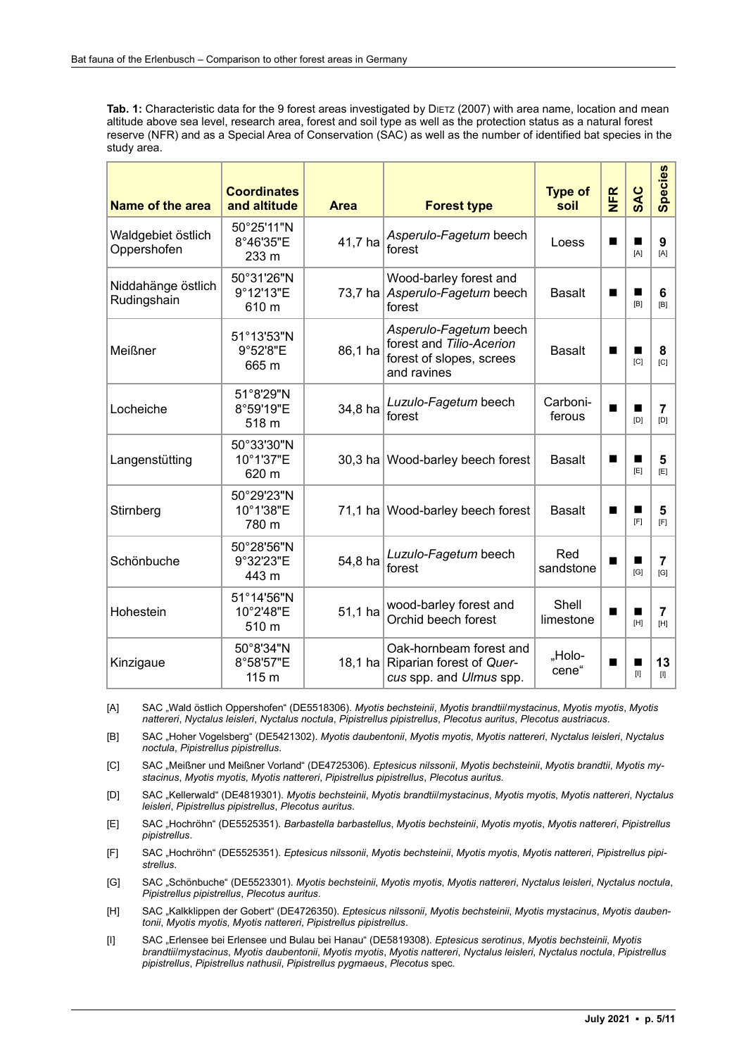Tab. 1: Characteristic data for the 9 forest areas investigated by DIETZ (2007) with area name, location and mean altitude above sea level, research area, forest and soil type as well as the protection status as a natural forest reserve (NFR) and as a Special Area of Conservation (SAC) as well as the number of identified bat species in the study area.

| <b>Name of the area</b>           | <b>Coordinates</b><br>and altitude | <b>Area</b> | <b>Forest type</b>                                                                            | <b>Type of</b><br>soil | <b>NFR</b> | <b>SAC</b> | Species               |
|-----------------------------------|------------------------------------|-------------|-----------------------------------------------------------------------------------------------|------------------------|------------|------------|-----------------------|
| Waldgebiet östlich<br>Oppershofen | 50°25'11"N<br>8°46'35"E<br>233 m   | 41,7 ha     | Asperulo-Fagetum beech<br>forest                                                              | Loess                  | ■          | [A]        | 9<br>[A]              |
| Niddahänge östlich<br>Rudingshain | 50°31'26"N<br>9°12'13"E<br>610 m   |             | Wood-barley forest and<br>73,7 ha Asperulo-Fagetum beech<br>forest                            | <b>Basalt</b>          | П          | [B]        | 6<br>[B]              |
| Meißner                           | 51°13'53"N<br>9°52'8"E<br>665 m    | 86,1 ha     | Asperulo-Fagetum beech<br>forest and Tilio-Acerion<br>forest of slopes, screes<br>and ravines | <b>Basalt</b>          | ■          | [C]        | 8<br> C               |
| Locheiche                         | 51°8'29"N<br>8°59'19"E<br>518 m    | 34,8 ha     | Luzulo-Fagetum beech<br>forest                                                                | Carboni-<br>ferous     | ■          | [D]        | 7<br>[D]              |
| Langenstütting                    | 50°33'30"N<br>10°1'37"E<br>620 m   |             | 30,3 ha Wood-barley beech forest                                                              | <b>Basalt</b>          | н          | [E]        | 5<br>[E]              |
| Stirnberg                         | 50°29'23"N<br>10°1'38"E<br>780 m   |             | 71,1 ha Wood-barley beech forest                                                              | <b>Basalt</b>          | ■          | ш<br>[F]   | 5<br>[F]              |
| Schönbuche                        | 50°28'56"N<br>9°32'23"E<br>443 m   | 54,8 ha     | Luzulo-Fagetum beech<br>forest                                                                | Red<br>sandstone       | ■          | [G]        | $\overline{7}$<br>[G] |
| Hohestein                         | 51°14'56"N<br>10°2'48"E<br>510 m   | 51,1 ha     | wood-barley forest and<br>Orchid beech forest                                                 | Shell<br>limestone     |            | [H]        | 7<br>[H]              |
| Kinzigaue                         | 50°8'34"N<br>8°58'57"E<br>115 m    |             | Oak-hornbeam forest and<br>18,1 ha Riparian forest of Quer-<br>cus spp. and Ulmus spp.        | -Holo.,<br>cene"       |            | $[1]$      | 13<br>$[1]$           |

[A] SAC "Wald östlich Oppershofen" (DE5518306). *Myotis bechsteinii*, *Myotis brandtii*/*mystacinus*, *Myotis myotis*, *Myotis nattereri*, *Nyctalus leisleri*, *Nyctalus noctula*, *Pipistrellus pipistrellus*, *Plecotus auritus*, *Plecotus austriacus*.

[B] SAC "Hoher Vogelsberg" (DE5421302). *Myotis daubentonii*, *Myotis myotis*, *Myotis nattereri*, *Nyctalus leisleri*, *Nyctalus noctula*, *Pipistrellus pipistrellus*.

[C] SAC "Meißner und Meißner Vorland" (DE4725306). *Eptesicus nilssonii*, *Myotis bechsteinii*, *Myotis brandtii*, *Myotis mystacinus*, *Myotis myotis*, *Myotis nattereri*, *Pipistrellus pipistrellus*, *Plecotus auritus*.

[D] SAC "Kellerwald" (DE4819301). *Myotis bechsteinii*, *Myotis brandtii*/*mystacinus*, *Myotis myotis*, *Myotis nattereri*, *Nyctalus leisleri*, *Pipistrellus pipistrellus*, *Plecotus auritus*.

[E] SAC "Hochröhn" (DE5525351). *Barbastella barbastellus*, *Myotis bechsteinii*, *Myotis myotis*, *Myotis nattereri*, *Pipistrellus pipistrellus*.

[F] SAC "Hochröhn" (DE5525351). *Eptesicus nilssonii*, *Myotis bechsteinii*, *Myotis myotis*, *Myotis nattereri*, *Pipistrellus pipistrellus*.

[G] SAC "Schönbuche" (DE5523301). *Myotis bechsteinii*, *Myotis myotis*, *Myotis nattereri*, *Nyctalus leisleri*, *Nyctalus noctula*, *Pipistrellus pipistrellus*, *Plecotus auritus*.

[H] SAC "Kalkklippen der Gobert" (DE4726350). *Eptesicus nilssonii*, *Myotis bechsteinii*, *Myotis mystacinus*, *Myotis daubentonii*, *Myotis myotis*, *Myotis nattereri*, *Pipistrellus pipistrellus*.

[I] SAC "Erlensee bei Erlensee und Bulau bei Hanau" (DE5819308). *Eptesicus serotinus*, *Myotis bechsteinii*, *Myotis brandtii*/*mystacinus*, *Myotis daubentonii*, *Myotis myotis*, *Myotis nattereri*, *Nyctalus leisleri*, *Nyctalus noctula*, *Pipistrellus pipistrellus*, *Pipistrellus nathusii*, *Pipistrellus pygmaeus*, *Plecotus* spec.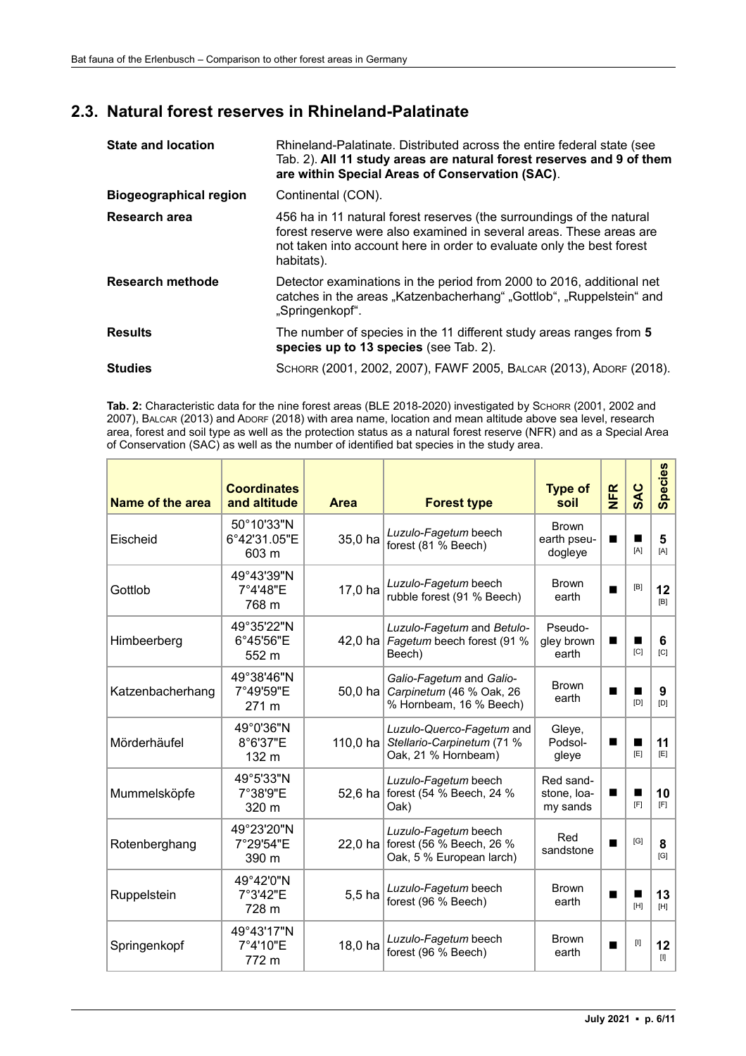## **2.3. Natural forest reserves in Rhineland-Palatinate**

| <b>State and location</b>     | Rhineland-Palatinate. Distributed across the entire federal state (see<br>Tab. 2). All 11 study areas are natural forest reserves and 9 of them<br>are within Special Areas of Conservation (SAC).                                  |
|-------------------------------|-------------------------------------------------------------------------------------------------------------------------------------------------------------------------------------------------------------------------------------|
| <b>Biogeographical region</b> | Continental (CON).                                                                                                                                                                                                                  |
| Research area                 | 456 ha in 11 natural forest reserves (the surroundings of the natural<br>forest reserve were also examined in several areas. These areas are<br>not taken into account here in order to evaluate only the best forest<br>habitats). |
| <b>Research methode</b>       | Detector examinations in the period from 2000 to 2016, additional net<br>catches in the areas "Katzenbacherhang" "Gottlob", "Ruppelstein" and<br>"Springenkopf".                                                                    |
| <b>Results</b>                | The number of species in the 11 different study areas ranges from 5<br>species up to 13 species (see Tab. 2).                                                                                                                       |
| <b>Studies</b>                | SCHORR (2001, 2002, 2007), FAWF 2005, BALCAR (2013), ADORF (2018).                                                                                                                                                                  |

**Tab. 2:** Characteristic data for the nine forest areas (BLE 2018-2020) investigated by SCHORR (2001, 2002 and 2007), BALCAR (2013) and ADORF (2018) with area name, location and mean altitude above sea level, research area, forest and soil type as well as the protection status as a natural forest reserve (NFR) and as a Special Area of Conservation (SAC) as well as the number of identified bat species in the study area.

| Name of the area | <b>Coordinates</b><br>and altitude  | <b>Area</b>       | <b>Forest type</b>                                                                      | <b>Type of</b><br>soil                 | <b>NFR</b> | SAC                                                                                                                                                                                                                                                                                                                                                                                                                                                                                                                                                                                                                                                                                                                                                                                                                                                                            | Species     |
|------------------|-------------------------------------|-------------------|-----------------------------------------------------------------------------------------|----------------------------------------|------------|--------------------------------------------------------------------------------------------------------------------------------------------------------------------------------------------------------------------------------------------------------------------------------------------------------------------------------------------------------------------------------------------------------------------------------------------------------------------------------------------------------------------------------------------------------------------------------------------------------------------------------------------------------------------------------------------------------------------------------------------------------------------------------------------------------------------------------------------------------------------------------|-------------|
| Eischeid         | 50°10'33"N<br>6°42'31.05"E<br>603 m | 35,0 ha           | Luzulo-Fagetum beech<br>forest (81 % Beech)                                             | <b>Brown</b><br>earth pseu-<br>dogleye | ■          | [A]                                                                                                                                                                                                                                                                                                                                                                                                                                                                                                                                                                                                                                                                                                                                                                                                                                                                            | 5<br>[A]    |
| Gottlob          | 49°43'39"N<br>7°4'48"E<br>768 m     | 17,0 ha           | Luzulo-Fagetum beech<br>rubble forest (91 % Beech)                                      | <b>Brown</b><br>earth                  | п          | [B]                                                                                                                                                                                                                                                                                                                                                                                                                                                                                                                                                                                                                                                                                                                                                                                                                                                                            | 12<br>[B]   |
| Himbeerberg      | 49°35'22"N<br>6°45'56"E<br>552 m    |                   | Luzulo-Fagetum and Betulo-<br>42,0 ha Fagetum beech forest (91 %<br>Beech)              | Pseudo-<br>gley brown<br>earth         | ■          | C                                                                                                                                                                                                                                                                                                                                                                                                                                                                                                                                                                                                                                                                                                                                                                                                                                                                              | 6<br>[C]    |
| Katzenbacherhang | 49°38'46"N<br>7°49'59"E<br>271 m    | $50,0$ ha         | Galio-Fagetum and Galio-<br>Carpinetum (46 % Oak, 26<br>% Hornbeam, 16 % Beech)         | <b>Brown</b><br>earth                  | ■          | [D]                                                                                                                                                                                                                                                                                                                                                                                                                                                                                                                                                                                                                                                                                                                                                                                                                                                                            | 9<br>[D]    |
| Mörderhäufel     | 49°0'36"N<br>8°6'37"E<br>132 m      |                   | Luzulo-Querco-Fagetum and<br>110,0 ha Stellario-Carpinetum (71 %<br>Oak, 21 % Hornbeam) | Gleve,<br>Podsol-<br>gleye             | ■          | [E]                                                                                                                                                                                                                                                                                                                                                                                                                                                                                                                                                                                                                                                                                                                                                                                                                                                                            | 11<br>[E]   |
| Mummelsköpfe     | 49°5'33"N<br>7°38'9"E<br>320 m      |                   | Luzulo-Fagetum beech<br>52,6 ha forest (54 % Beech, 24 %<br>Oak)                        | Red sand-<br>stone, loa-<br>my sands   | ■          | [F]                                                                                                                                                                                                                                                                                                                                                                                                                                                                                                                                                                                                                                                                                                                                                                                                                                                                            | 10<br>[F]   |
| Rotenberghang    | 49°23'20"N<br>7°29'54"E<br>390 m    |                   | Luzulo-Fagetum beech<br>22,0 ha forest (56 % Beech, 26 %<br>Oak, 5 % European larch)    | Red<br>sandstone                       | ■          | [G]                                                                                                                                                                                                                                                                                                                                                                                                                                                                                                                                                                                                                                                                                                                                                                                                                                                                            | 8<br>[G]    |
| Ruppelstein      | 49°42'0"N<br>7°3'42"E<br>728 m      | 5.5 <sub>ha</sub> | Luzulo-Fagetum beech<br>forest (96 % Beech)                                             | <b>Brown</b><br>earth                  | ■          | [H]                                                                                                                                                                                                                                                                                                                                                                                                                                                                                                                                                                                                                                                                                                                                                                                                                                                                            | 13<br>[H]   |
| Springenkopf     | 49°43'17"N<br>7°4'10"E<br>772 m     | 18,0 ha           | Luzulo-Fagetum beech<br>forest (96 % Beech)                                             | <b>Brown</b><br>earth                  | ■          | $[] \centering \includegraphics[width=0.47\textwidth]{Figures/PD1.png} \caption{The 3D (black) model for the 3D (black) model. The left side is the same time. The right side is the same time. The right side is the same time. The right side is the same time. The right side is the same time. The right side is the same time. The right side is the same time. The right side is the same time. The right side is the same time. The right side is the same time. The right side is the same time. The right side is the same time. The right side is the same time. The right side is the same time. The right side is the same time. The right side is the same time. The right side is the same time. The right side is the same time. The right side is the same time. The right side is the same time. The right side is the same time. The right side is the same$ | 12<br>$[1]$ |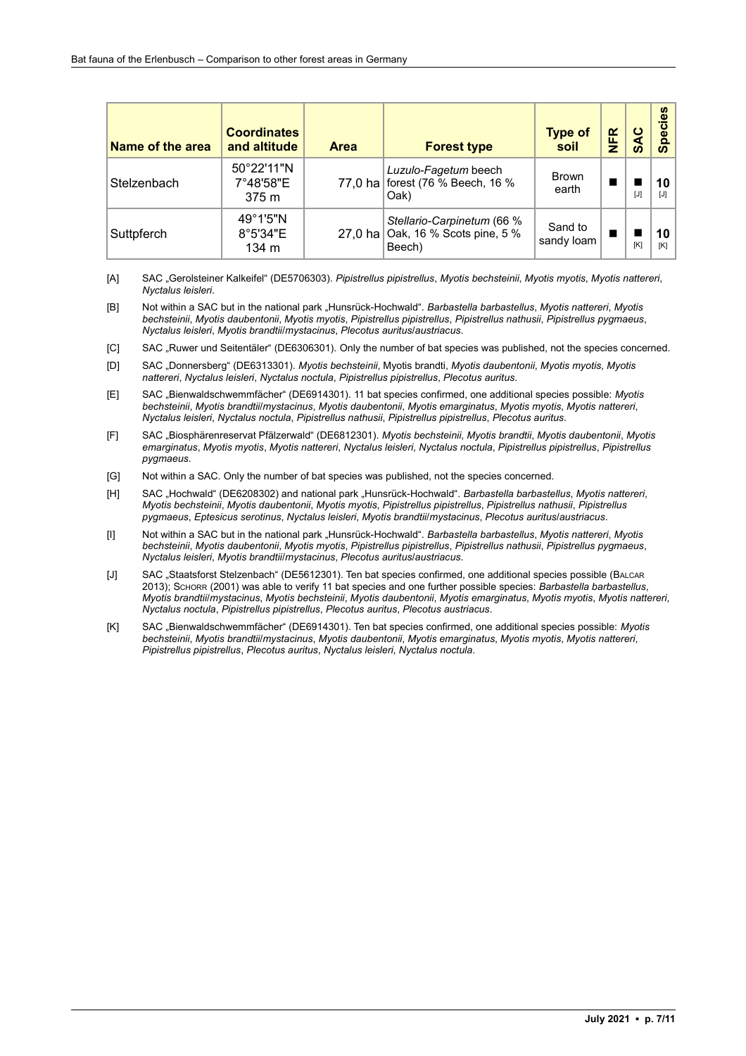| <b>Name of the area</b> | <b>Coordinates</b><br>and altitude         | <b>Area</b> | <b>Forest type</b>                                                | <b>Type of</b><br>soil | <b>NFR</b> | ပ္ရွ<br>ທ | ဖို့<br>$\mathbf c$<br>Φ<br>$\circ$<br>ທ |
|-------------------------|--------------------------------------------|-------------|-------------------------------------------------------------------|------------------------|------------|-----------|------------------------------------------|
| Stelzenbach             | 50°22'11"N<br>7°48'58"E<br>$375 \text{ m}$ | 77.0 ha l   | Luzulo-Fagetum beech<br>forest (76 % Beech, 16 %<br>Oak)          | <b>Brown</b><br>earth  | ■          | [J]       | 10<br>[J]                                |
| Suttpferch              | $49^{\circ}1'5''N$<br>8°5'34"E<br>134 m    | $27,0$ ha   | Stellario-Carpinetum (66 %<br>Oak, 16 % Scots pine, 5 %<br>Beech) | Sand to<br>sandy loam  | П          | [K]       | 10<br>[K]                                |

- [A] SAC "Gerolsteiner Kalkeifel" (DE5706303). *Pipistrellus pipistrellus*, *Myotis bechsteinii*, *Myotis myotis*, *Myotis nattereri*, *Nyctalus leisleri*.
- [B] Not within a SAC but in the national park "Hunsrück-Hochwald". *Barbastella barbastellus*, *Myotis nattereri*, *Myotis bechsteinii*, *Myotis daubentonii*, *Myotis myotis*, *Pipistrellus pipistrellus*, *Pipistrellus nathusii*, *Pipistrellus pygmaeus*, *Nyctalus leisleri*, *Myotis brandtii*/*mystacinus*, *Plecotus auritus*/*austriacus*.
- [C] SAC "Ruwer und Seitentäler" (DE6306301). Only the number of bat species was published, not the species concerned.
- [D] SAC "Donnersberg" (DE6313301). *Myotis bechsteinii*, Myotis brandti, *Myotis daubentonii*, *Myotis myotis*, *Myotis nattereri*, *Nyctalus leisleri*, *Nyctalus noctula*, *Pipistrellus pipistrellus*, *Plecotus auritus*.
- [E] SAC "Bienwaldschwemmfächer" (DE6914301). 11 bat species confirmed, one additional species possible: *Myotis bechsteinii*, *Myotis brandtii*/*mystacinus*, *Myotis daubentonii*, *Myotis emarginatus*, *Myotis myotis*, *Myotis nattereri*, *Nyctalus leisleri*, *Nyctalus noctula*, *Pipistrellus nathusii*, *Pipistrellus pipistrellus*, *Plecotus auritus*.
- [F] SAC "Biosphärenreservat Pfälzerwald" (DE6812301). *Myotis bechsteinii*, *Myotis brandtii*, *Myotis daubentonii*, *Myotis emarginatus*, *Myotis myotis*, *Myotis nattereri*, *Nyctalus leisleri*, *Nyctalus noctula*, *Pipistrellus pipistrellus*, *Pipistrellus pygmaeus*.
- [G] Not within a SAC. Only the number of bat species was published, not the species concerned.
- [H] SAC "Hochwald" (DE6208302) and national park "Hunsrück-Hochwald". *Barbastella barbastellus*, *Myotis nattereri*, *Myotis bechsteinii*, *Myotis daubentonii*, *Myotis myotis*, *Pipistrellus pipistrellus*, *Pipistrellus nathusii*, *Pipistrellus pygmaeus*, *Eptesicus serotinus*, *Nyctalus leisleri*, *Myotis brandtii*/*mystacinus*, *Plecotus auritus*/*austriacus*.
- [I] Not within a SAC but in the national park "Hunsrück-Hochwald". *Barbastella barbastellus*, *Myotis nattereri*, *Myotis bechsteinii*, *Myotis daubentonii*, *Myotis myotis*, *Pipistrellus pipistrellus*, *Pipistrellus nathusii*, *Pipistrellus pygmaeus*, *Nyctalus leisleri*, *Myotis brandtii*/*mystacinus*, *Plecotus auritus*/*austriacus*.
- [J] SAC "Staatsforst Stelzenbach" (DE5612301). Ten bat species confirmed, one additional species possible (BALCAR 2013); SCHORR (2001) was able to verify 11 bat species and one further possible species: *Barbastella barbastellus*, *Myotis brandtii*/*mystacinus*, *Myotis bechsteinii*, *Myotis daubentonii*, *Myotis emarginatus*, *Myotis myotis*, *Myotis nattereri*, *Nyctalus noctula*, *Pipistrellus pipistrellus*, *Plecotus auritus*, *Plecotus austriacus*.
- [K] SAC "Bienwaldschwemmfächer" (DE6914301). Ten bat species confirmed, one additional species possible: *Myotis bechsteinii*, *Myotis brandtii*/*mystacinus*, *Myotis daubentonii*, *Myotis emarginatus*, *Myotis myotis*, *Myotis nattereri*, *Pipistrellus pipistrellus*, *Plecotus auritus*, *Nyctalus leisleri*, *Nyctalus noctula*.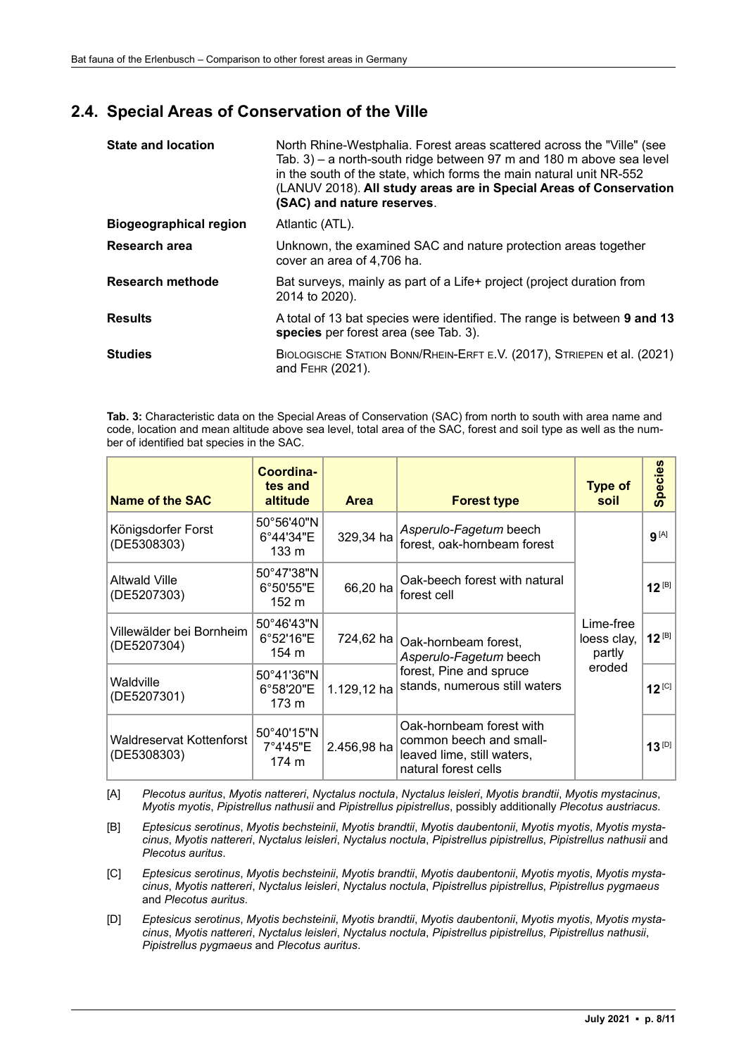#### **2.4. Special Areas of Conservation of the Ville**

| <b>State and location</b>     | North Rhine-Westphalia. Forest areas scattered across the "Ville" (see<br>Tab. 3) – a north-south ridge between 97 m and 180 m above sea level<br>in the south of the state, which forms the main natural unit NR-552<br>(LANUV 2018). All study areas are in Special Areas of Conservation<br>(SAC) and nature reserves. |
|-------------------------------|---------------------------------------------------------------------------------------------------------------------------------------------------------------------------------------------------------------------------------------------------------------------------------------------------------------------------|
| <b>Biogeographical region</b> | Atlantic (ATL).                                                                                                                                                                                                                                                                                                           |
| Research area                 | Unknown, the examined SAC and nature protection areas together<br>cover an area of 4,706 ha.                                                                                                                                                                                                                              |
| <b>Research methode</b>       | Bat surveys, mainly as part of a Life+ project (project duration from<br>2014 to 2020).                                                                                                                                                                                                                                   |
| <b>Results</b>                | A total of 13 bat species were identified. The range is between 9 and 13<br>species per forest area (see Tab. 3).                                                                                                                                                                                                         |
| <b>Studies</b>                | BIOLOGISCHE STATION BONN/RHEIN-ERFT E.V. (2017), STRIEPEN et al. (2021)<br>and FEHR (2021).                                                                                                                                                                                                                               |

**Tab. 3:** Characteristic data on the Special Areas of Conservation (SAC) from north to south with area name and code, location and mean altitude above sea level, total area of the SAC, forest and soil type as well as the number of identified bat species in the SAC.

| Name of the SAC                         | Coordina-<br>tes and<br>altitude                      | <b>Area</b> | <b>Forest type</b>                                                                                        | <b>Type of</b><br>soil             | pecies<br>ဖာ |
|-----------------------------------------|-------------------------------------------------------|-------------|-----------------------------------------------------------------------------------------------------------|------------------------------------|--------------|
| Königsdorfer Forst<br>(DE5308303)       | $50^{\circ}56'40''N$<br>6°44'34"E<br>133 m            | 329,34 ha   | Asperulo-Fagetum beech<br>forest, oak-hornbeam forest                                                     |                                    | $9^{[A]}$    |
| Altwald Ville<br>(DE5207303)            | $50^{\circ}47'38''N$<br>6°50'55"E<br>152 <sub>m</sub> | 66,20 ha    | Oak-beech forest with natural<br>forest cell                                                              |                                    | $12^{[B]}$   |
| Villewälder bei Bornheim<br>(DE5207304) | 50°46'43"N<br>6°52'16"E<br>$154 \text{ m}$            | 724,62 ha   | Oak-hornbeam forest,<br>Asperulo-Fagetum beech                                                            | Lime-free<br>loess clay,<br>partly | $12^{[B]}$   |
| Waldville<br>(DE5207301)                | 50°41'36"N<br>6°58'20"E<br>$173 \text{ m}$            | 1.129,12 ha | forest, Pine and spruce<br>stands, numerous still waters                                                  | eroded                             | $12^{[C]}$   |
| Waldreservat Kottenforst<br>(DE5308303) | 50°40'15"N<br>7°4'45"E<br>174 m                       | 2.456,98 ha | Oak-hornbeam forest with<br>common beech and small-<br>leaved lime, still waters,<br>natural forest cells |                                    | $13^{[D]}$   |

[A] *Plecotus auritus*, *Myotis nattereri*, *Nyctalus noctula*, *Nyctalus leisleri*, *Myotis brandtii*, *Myotis mystacinus*, *Myotis myotis*, *Pipistrellus nathusii* and *Pipistrellus pipistrellus*, possibly additionally *Plecotus austriacus*.

- [B] *Eptesicus serotinus*, *Myotis bechsteinii*, *Myotis brandtii*, *Myotis daubentonii*, *Myotis myotis*, *Myotis mystacinus*, *Myotis nattereri*, *Nyctalus leisleri*, *Nyctalus noctula*, *Pipistrellus pipistrellus*, *Pipistrellus nathusii* and *Plecotus auritus*.
- [C] *Eptesicus serotinus*, *Myotis bechsteinii*, *Myotis brandtii*, *Myotis daubentonii*, *Myotis myotis*, *Myotis mystacinus*, *Myotis nattereri*, *Nyctalus leisleri*, *Nyctalus noctula*, *Pipistrellus pipistrellus*, *Pipistrellus pygmaeus* and *Plecotus auritus*.
- [D] *Eptesicus serotinus*, *Myotis bechsteinii*, *Myotis brandtii*, *Myotis daubentonii*, *Myotis myotis*, *Myotis mystacinus*, *Myotis nattereri*, *Nyctalus leisleri*, *Nyctalus noctula*, *Pipistrellus pipistrellus*, *Pipistrellus nathusii*, *Pipistrellus pygmaeus* and *Plecotus auritus*.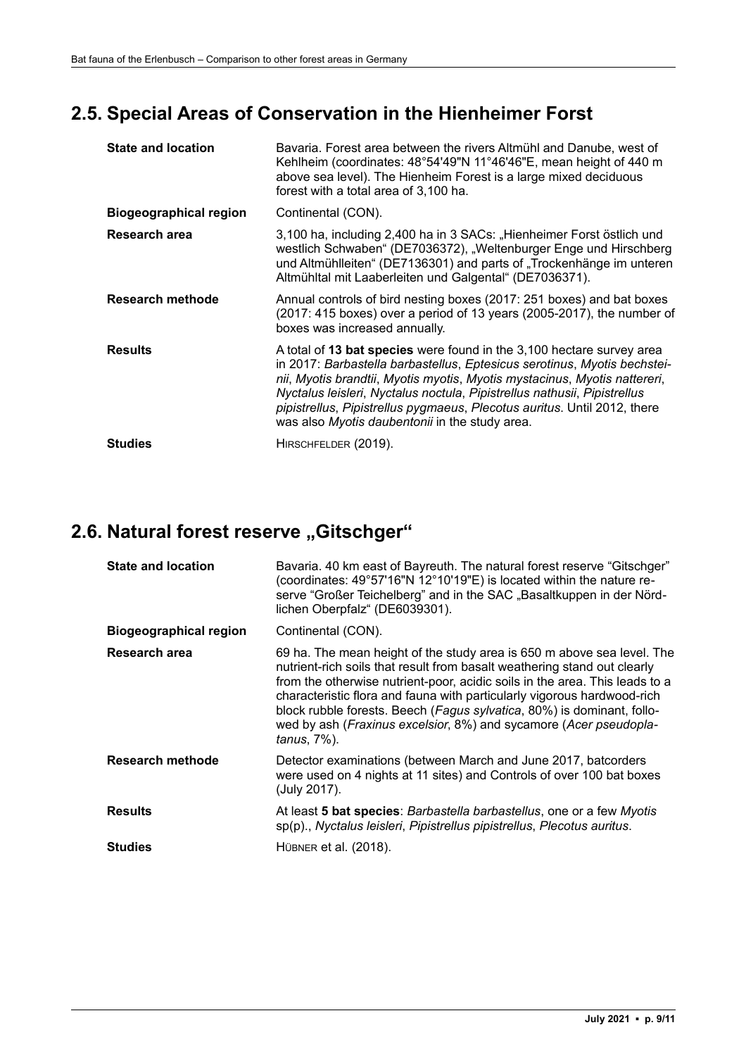# **2.5. Special Areas of Conservation in the Hienheimer Forst**

| <b>State and location</b>     | Bavaria. Forest area between the rivers Altmühl and Danube, west of<br>Kehlheim (coordinates: 48°54'49"N 11°46'46"E, mean height of 440 m<br>above sea level). The Hienheim Forest is a large mixed deciduous<br>forest with a total area of 3,100 ha.                                                                                                                                                                                   |
|-------------------------------|------------------------------------------------------------------------------------------------------------------------------------------------------------------------------------------------------------------------------------------------------------------------------------------------------------------------------------------------------------------------------------------------------------------------------------------|
| <b>Biogeographical region</b> | Continental (CON).                                                                                                                                                                                                                                                                                                                                                                                                                       |
| Research area                 | 3,100 ha, including 2,400 ha in 3 SACs: "Hienheimer Forst östlich und<br>westlich Schwaben" (DE7036372), "Weltenburger Enge und Hirschberg<br>und Altmühlleiten" (DE7136301) and parts of "Trockenhänge im unteren<br>Altmühltal mit Laaberleiten und Galgental" (DE7036371).                                                                                                                                                            |
| <b>Research methode</b>       | Annual controls of bird nesting boxes (2017: 251 boxes) and bat boxes<br>(2017: 415 boxes) over a period of 13 years (2005-2017), the number of<br>boxes was increased annually.                                                                                                                                                                                                                                                         |
| <b>Results</b>                | A total of 13 bat species were found in the 3,100 hectare survey area<br>in 2017: Barbastella barbastellus, Eptesicus serotinus, Myotis bechstei-<br>nii, Myotis brandtii, Myotis myotis, Myotis mystacinus, Myotis nattereri,<br>Nyctalus leisleri, Nyctalus noctula, Pipistrellus nathusii, Pipistrellus<br>pipistrellus, Pipistrellus pygmaeus, Plecotus auritus. Until 2012, there<br>was also Myotis daubentonii in the study area. |
| Studies                       | HIRSCHFELDER (2019).                                                                                                                                                                                                                                                                                                                                                                                                                     |
|                               |                                                                                                                                                                                                                                                                                                                                                                                                                                          |

# **2.6. Natural forest reserve "Gitschger"**

| <b>State and location</b>     | Bavaria. 40 km east of Bayreuth. The natural forest reserve "Gitschger"<br>(coordinates: 49°57'16"N 12°10'19"E) is located within the nature re-<br>serve "Großer Teichelberg" and in the SAC "Basaltkuppen in der Nörd-<br>lichen Oberpfalz" (DE6039301).                                                                                                                                                                                                                    |
|-------------------------------|-------------------------------------------------------------------------------------------------------------------------------------------------------------------------------------------------------------------------------------------------------------------------------------------------------------------------------------------------------------------------------------------------------------------------------------------------------------------------------|
| <b>Biogeographical region</b> | Continental (CON).                                                                                                                                                                                                                                                                                                                                                                                                                                                            |
| Research area                 | 69 ha. The mean height of the study area is 650 m above sea level. The<br>nutrient-rich soils that result from basalt weathering stand out clearly<br>from the otherwise nutrient-poor, acidic soils in the area. This leads to a<br>characteristic flora and fauna with particularly vigorous hardwood-rich<br>block rubble forests. Beech (Fagus sylvatica, 80%) is dominant, follo-<br>wed by ash (Fraxinus excelsior, 8%) and sycamore (Acer pseudopla-<br>$tanus, 7%$ ). |
| <b>Research methode</b>       | Detector examinations (between March and June 2017, batcorders<br>were used on 4 nights at 11 sites) and Controls of over 100 bat boxes<br>(July 2017).                                                                                                                                                                                                                                                                                                                       |
| <b>Results</b>                | At least 5 bat species: Barbastella barbastellus, one or a few Myotis<br>sp(p)., Nyctalus leisleri, Pipistrellus pipistrellus, Plecotus auritus.                                                                                                                                                                                                                                                                                                                              |
| <b>Studies</b>                | Hübner et al. (2018).                                                                                                                                                                                                                                                                                                                                                                                                                                                         |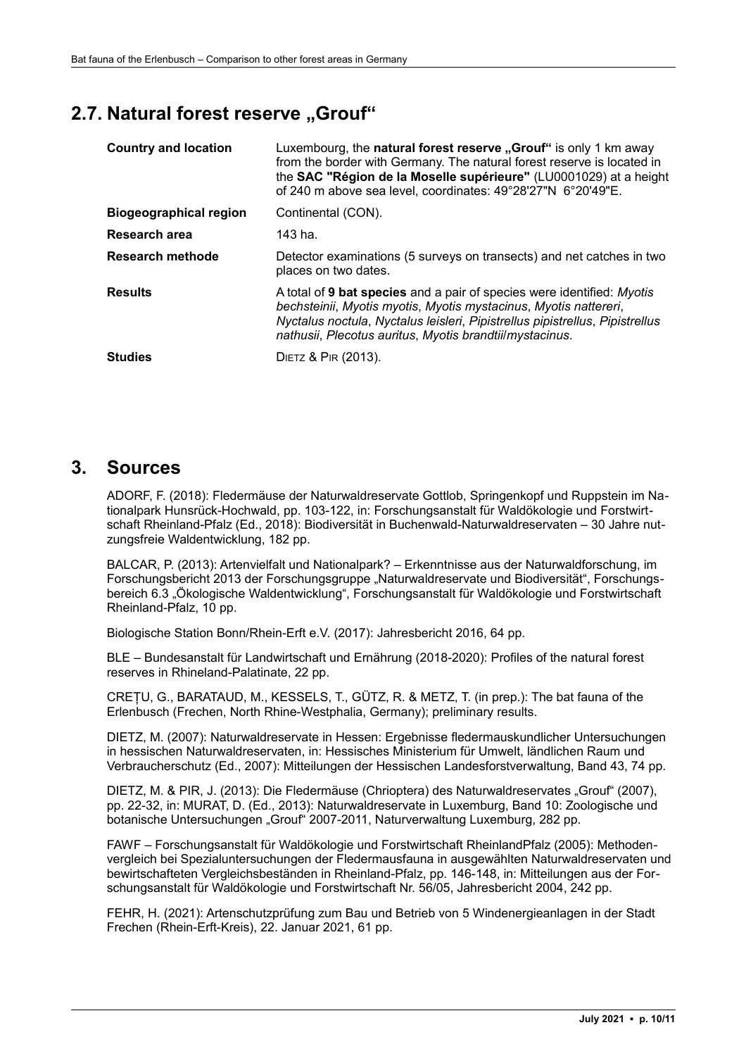## **2.7. Natural forest reserve "Grouf"**

| <b>Country and location</b>   | Luxembourg, the natural forest reserve "Grouf" is only 1 km away<br>from the border with Germany. The natural forest reserve is located in<br>the SAC "Région de la Moselle supérieure" (LU0001029) at a height<br>of 240 m above sea level, coordinates: 49°28'27"N 6°20'49"E.                     |
|-------------------------------|-----------------------------------------------------------------------------------------------------------------------------------------------------------------------------------------------------------------------------------------------------------------------------------------------------|
| <b>Biogeographical region</b> | Continental (CON).                                                                                                                                                                                                                                                                                  |
| Research area                 | 143 ha.                                                                                                                                                                                                                                                                                             |
| <b>Research methode</b>       | Detector examinations (5 surveys on transects) and net catches in two<br>places on two dates.                                                                                                                                                                                                       |
| <b>Results</b>                | A total of <b>9 bat species</b> and a pair of species were identified: <i>Myotis</i><br>bechsteinii, Myotis myotis, Myotis mystacinus, Myotis nattereri,<br>Nyctalus noctula, Nyctalus leisleri, Pipistrellus pipistrellus, Pipistrellus<br>nathusii, Plecotus auritus, Myotis brandtiilmystacinus. |
| Studies                       | DIETZ & PIR (2013).                                                                                                                                                                                                                                                                                 |

## **3. Sources**

ADORF, F. (2018): Fledermäuse der Naturwaldreservate Gottlob, Springenkopf und Ruppstein im Nationalpark Hunsrück-Hochwald, pp. 103-122, in: Forschungsanstalt für Waldökologie und Forstwirtschaft Rheinland-Pfalz (Ed., 2018): Biodiversität in Buchenwald-Naturwaldreservaten – 30 Jahre nutzungsfreie Waldentwicklung, 182 pp.

BALCAR, P. (2013): Artenvielfalt und Nationalpark? – Erkenntnisse aus der Naturwaldforschung, im Forschungsbericht 2013 der Forschungsgruppe "Naturwaldreservate und Biodiversität", Forschungsbereich 6.3 "Ökologische Waldentwicklung", Forschungsanstalt für Waldökologie und Forstwirtschaft Rheinland-Pfalz, 10 pp.

Biologische Station Bonn/Rhein-Erft e.V. (2017): Jahresbericht 2016, 64 pp.

BLE – Bundesanstalt für Landwirtschaft und Ernährung (2018-2020): Profiles of the natural forest reserves in Rhineland-Palatinate, 22 pp.

CREȚU, G., BARATAUD, M., KESSELS, T., GÜTZ, R. & METZ, T. (in prep.): The bat fauna of the Erlenbusch (Frechen, North Rhine-Westphalia, Germany); preliminary results.

DIETZ, M. (2007): Naturwaldreservate in Hessen: Ergebnisse fledermauskundlicher Untersuchungen in hessischen Naturwaldreservaten, in: Hessisches Ministerium für Umwelt, ländlichen Raum und Verbraucherschutz (Ed., 2007): Mitteilungen der Hessischen Landesforstverwaltung, Band 43, 74 pp.

DIETZ, M. & PIR, J. (2013): Die Fledermäuse (Chrioptera) des Naturwaldreservates "Grouf" (2007), pp. 22-32, in: MURAT, D. (Ed., 2013): Naturwaldreservate in Luxemburg, Band 10: Zoologische und botanische Untersuchungen "Grouf" 2007-2011, Naturverwaltung Luxemburg, 282 pp.

FAWF – Forschungsanstalt für Waldökologie und Forstwirtschaft RheinlandPfalz (2005): Methodenvergleich bei Spezialuntersuchungen der Fledermausfauna in ausgewählten Naturwaldreservaten und bewirtschafteten Vergleichsbeständen in Rheinland-Pfalz, pp. 146-148, in: Mitteilungen aus der Forschungsanstalt für Waldökologie und Forstwirtschaft Nr. 56/05, Jahresbericht 2004, 242 pp.

FEHR, H. (2021): Artenschutzprüfung zum Bau und Betrieb von 5 Windenergieanlagen in der Stadt Frechen (Rhein-Erft-Kreis), 22. Januar 2021, 61 pp.